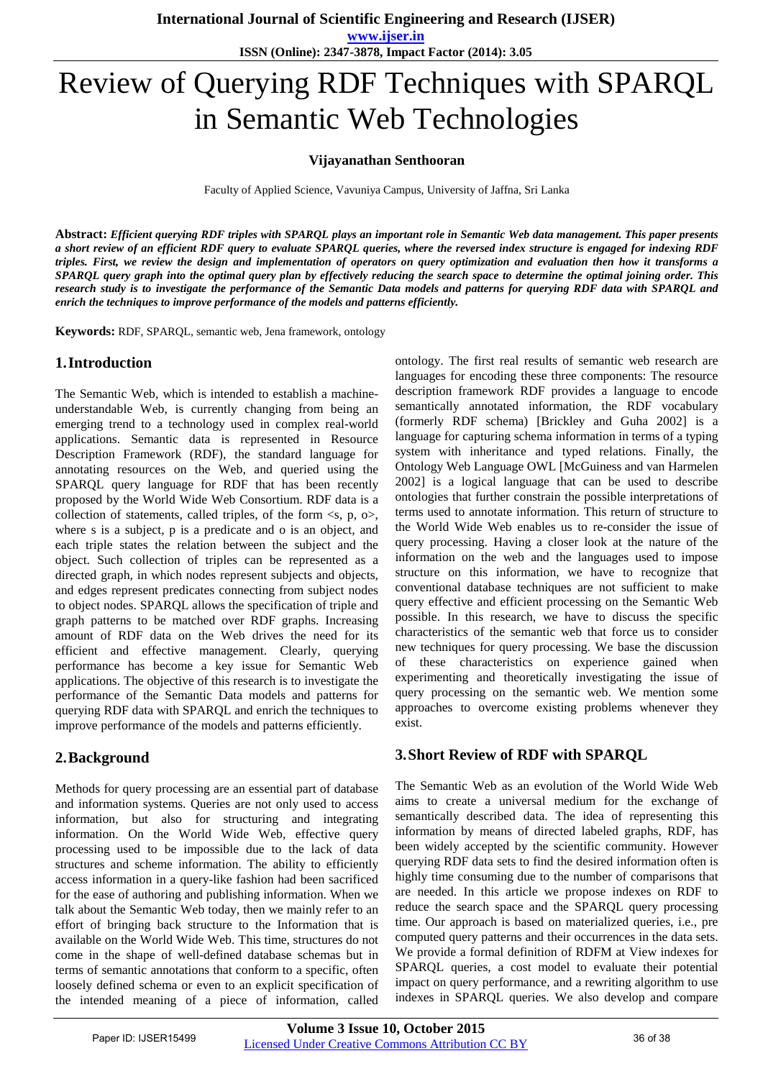**www.ijser.in ISSN (Online): 2347-3878, Impact Factor (2014): 3.05**

# Review of Querying RDF Techniques with SPARQL in Semantic Web Technologies

#### **Vijayanathan Senthooran**

Faculty of Applied Science, Vavuniya Campus, University of Jaffna, Sri Lanka

**Abstract:** *Efficient querying RDF triples with SPARQL plays an important role in Semantic Web data management. This paper presents a short review of an efficient RDF query to evaluate SPARQL queries, where the reversed index structure is engaged for indexing RDF triples. First, we review the design and implementation of operators on query optimization and evaluation then how it transforms a SPARQL query graph into the optimal query plan by effectively reducing the search space to determine the optimal joining order. This research study is to investigate the performance of the Semantic Data models and patterns for querying RDF data with SPARQL and enrich the techniques to improve performance of the models and patterns efficiently.*

**Keywords:** RDF, SPARQL, semantic web, Jena framework, ontology

## **1.Introduction**

The Semantic Web, which is intended to establish a machineunderstandable Web, is currently changing from being an emerging trend to a technology used in complex real-world applications. Semantic data is represented in Resource Description Framework (RDF), the standard language for annotating resources on the Web, and queried using the SPARQL query language for RDF that has been recently proposed by the World Wide Web Consortium. RDF data is a collection of statements, called triples, of the form  $\langle s, p, o \rangle$ , where s is a subject, p is a predicate and o is an object, and each triple states the relation between the subject and the object. Such collection of triples can be represented as a directed graph, in which nodes represent subjects and objects, and edges represent predicates connecting from subject nodes to object nodes. SPARQL allows the specification of triple and graph patterns to be matched over RDF graphs. Increasing amount of RDF data on the Web drives the need for its efficient and effective management. Clearly, querying performance has become a key issue for Semantic Web applications. The objective of this research is to investigate the performance of the Semantic Data models and patterns for querying RDF data with SPARQL and enrich the techniques to improve performance of the models and patterns efficiently.

## **2.Background**

Methods for query processing are an essential part of database and information systems. Queries are not only used to access information, but also for structuring and integrating information. On the World Wide Web, effective query processing used to be impossible due to the lack of data structures and scheme information. The ability to efficiently access information in a query-like fashion had been sacrificed for the ease of authoring and publishing information. When we talk about the Semantic Web today, then we mainly refer to an effort of bringing back structure to the Information that is available on the World Wide Web. This time, structures do not come in the shape of well-defined database schemas but in terms of semantic annotations that conform to a specific, often loosely defined schema or even to an explicit specification of the intended meaning of a piece of information, called

ontology. The first real results of semantic web research are languages for encoding these three components: The resource description framework RDF provides a language to encode semantically annotated information, the RDF vocabulary (formerly RDF schema) [Brickley and Guha 2002] is a language for capturing schema information in terms of a typing system with inheritance and typed relations. Finally, the Ontology Web Language OWL [McGuiness and van Harmelen 2002] is a logical language that can be used to describe ontologies that further constrain the possible interpretations of terms used to annotate information. This return of structure to the World Wide Web enables us to re-consider the issue of query processing. Having a closer look at the nature of the information on the web and the languages used to impose structure on this information, we have to recognize that conventional database techniques are not sufficient to make query effective and efficient processing on the Semantic Web possible. In this research, we have to discuss the specific characteristics of the semantic web that force us to consider new techniques for query processing. We base the discussion of these characteristics on experience gained when experimenting and theoretically investigating the issue of query processing on the semantic web. We mention some approaches to overcome existing problems whenever they exist.

## **3.Short Review of RDF with SPARQL**

The Semantic Web as an evolution of the World Wide Web aims to create a universal medium for the exchange of semantically described data. The idea of representing this information by means of directed labeled graphs, RDF, has been widely accepted by the scientific community. However querying RDF data sets to find the desired information often is highly time consuming due to the number of comparisons that are needed. In this article we propose indexes on RDF to reduce the search space and the SPARQL query processing time. Our approach is based on materialized queries, i.e., pre computed query patterns and their occurrences in the data sets. We provide a formal definition of RDFM at View indexes for SPARQL queries, a cost model to evaluate their potential impact on query performance, and a rewriting algorithm to use indexes in SPARQL queries. We also develop and compare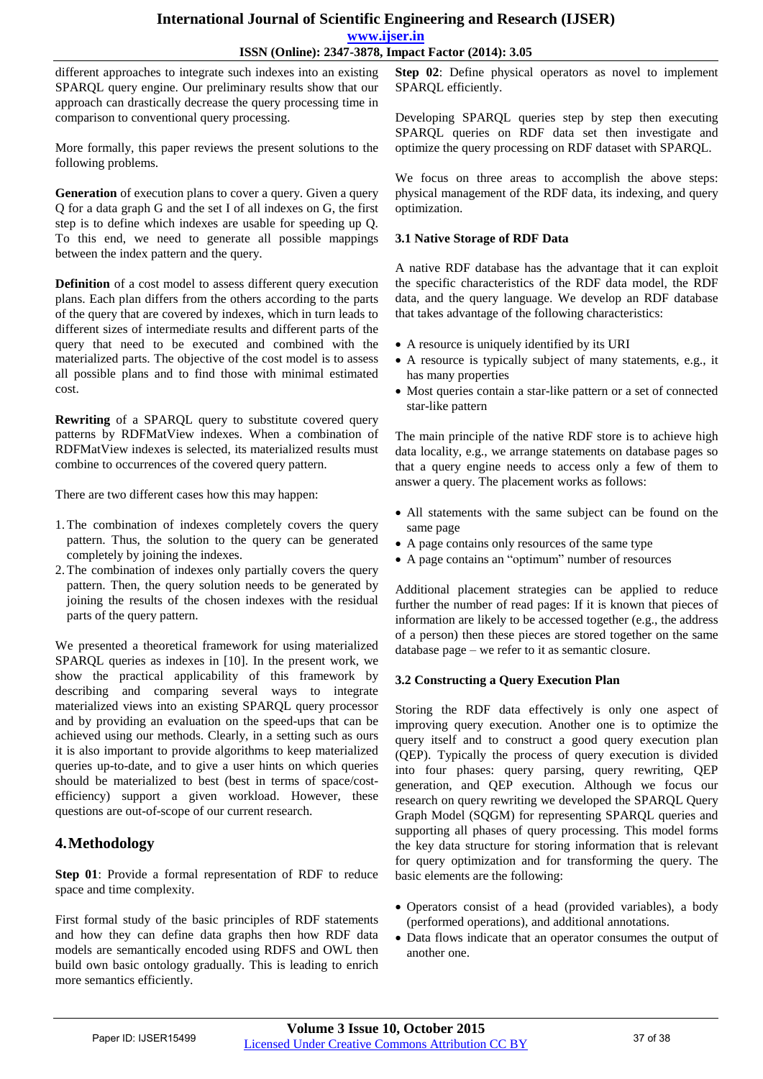#### **International Journal of Scientific Engineering and Research (IJSER) www.ijser.in ISSN (Online): 2347-3878, Impact Factor (2014): 3.05**

different approaches to integrate such indexes into an existing SPARQL query engine. Our preliminary results show that our approach can drastically decrease the query processing time in comparison to conventional query processing.

More formally, this paper reviews the present solutions to the following problems.

**Generation** of execution plans to cover a query. Given a query Q for a data graph G and the set I of all indexes on G, the first step is to define which indexes are usable for speeding up Q. To this end, we need to generate all possible mappings between the index pattern and the query.

**Definition** of a cost model to assess different query execution plans. Each plan differs from the others according to the parts of the query that are covered by indexes, which in turn leads to different sizes of intermediate results and different parts of the query that need to be executed and combined with the materialized parts. The objective of the cost model is to assess all possible plans and to find those with minimal estimated cost.

**Rewriting** of a SPARQL query to substitute covered query patterns by RDFMatView indexes. When a combination of RDFMatView indexes is selected, its materialized results must combine to occurrences of the covered query pattern.

There are two different cases how this may happen:

- 1.The combination of indexes completely covers the query pattern. Thus, the solution to the query can be generated completely by joining the indexes.
- 2.The combination of indexes only partially covers the query pattern. Then, the query solution needs to be generated by joining the results of the chosen indexes with the residual parts of the query pattern.

We presented a theoretical framework for using materialized SPARQL queries as indexes in [10]. In the present work, we show the practical applicability of this framework by describing and comparing several ways to integrate materialized views into an existing SPARQL query processor and by providing an evaluation on the speed-ups that can be achieved using our methods. Clearly, in a setting such as ours it is also important to provide algorithms to keep materialized queries up-to-date, and to give a user hints on which queries should be materialized to best (best in terms of space/costefficiency) support a given workload. However, these questions are out-of-scope of our current research.

# **4.Methodology**

**Step 01**: Provide a formal representation of RDF to reduce space and time complexity.

First formal study of the basic principles of RDF statements and how they can define data graphs then how RDF data models are semantically encoded using RDFS and OWL then build own basic ontology gradually. This is leading to enrich more semantics efficiently.

**Step 02**: Define physical operators as novel to implement SPARQL efficiently.

Developing SPARQL queries step by step then executing SPARQL queries on RDF data set then investigate and optimize the query processing on RDF dataset with SPARQL.

We focus on three areas to accomplish the above steps: physical management of the RDF data, its indexing, and query optimization.

#### **3.1 Native Storage of RDF Data**

A native RDF database has the advantage that it can exploit the specific characteristics of the RDF data model, the RDF data, and the query language. We develop an RDF database that takes advantage of the following characteristics:

- A resource is uniquely identified by its URI
- A resource is typically subject of many statements, e.g., it has many properties
- Most queries contain a star-like pattern or a set of connected star-like pattern

The main principle of the native RDF store is to achieve high data locality, e.g., we arrange statements on database pages so that a query engine needs to access only a few of them to answer a query. The placement works as follows:

- All statements with the same subject can be found on the same page
- A page contains only resources of the same type
- A page contains an "optimum" number of resources

Additional placement strategies can be applied to reduce further the number of read pages: If it is known that pieces of information are likely to be accessed together (e.g., the address of a person) then these pieces are stored together on the same database page – we refer to it as semantic closure.

#### **3.2 Constructing a Query Execution Plan**

Storing the RDF data effectively is only one aspect of improving query execution. Another one is to optimize the query itself and to construct a good query execution plan (QEP). Typically the process of query execution is divided into four phases: query parsing, query rewriting, QEP generation, and QEP execution. Although we focus our research on query rewriting we developed the SPARQL Query Graph Model (SQGM) for representing SPARQL queries and supporting all phases of query processing. This model forms the key data structure for storing information that is relevant for query optimization and for transforming the query. The basic elements are the following:

- Operators consist of a head (provided variables), a body (performed operations), and additional annotations.
- Data flows indicate that an operator consumes the output of another one.